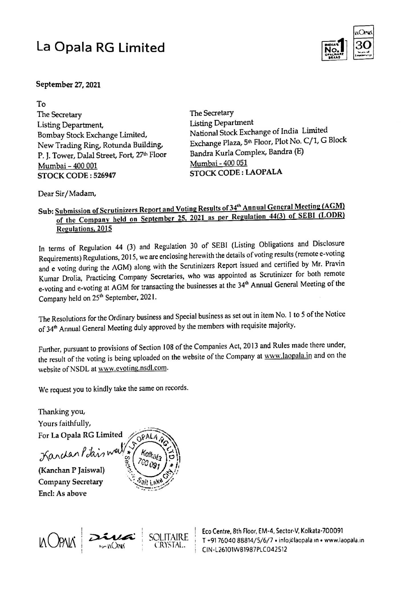# La Opala RG Limited



To The Secretary Listing Department, Bombay Stock Exchange Limited, New Trading Ring, Rotunda Building, P. J. Tower, Dalal Street, Fort, 27th Floor Mumbai - 400 001 **STOCK CODE: 526947** 

The Secretary **Listing Department** National Stock Exchange of India Limited Exchange Plaza, 5th Floor, Plot No. C/1, G Block Bandra Kurla Complex, Bandra (E) Mumbai - 400 051 **STOCK CODE: LAOPALA** 

Dear Sir/Madam,

## Sub: Submission of Scrutinizers Report and Voting Results of 34<sup>th</sup> Annual General Meeting (AGM) of the Company held on September 25, 2021 as per Regulation 44(3) of SEBI (LODR) **Regulations, 2015**

In terms of Regulation 44 (3) and Regulation 30 of SEBI (Listing Obligations and Disclosure Requirements) Regulations, 2015, we are enclosing herewith the details of voting results (remote e-voting and e voting during the AGM) along with the Scrutinizers Report issued and certified by Mr. Pravin Kumar Drolia, Practicing Company Secretaries, who was appointed as Scrutinizer for both remote e-voting and e-voting at AGM for transacting the businesses at the 34<sup>th</sup> Annual General Meeting of the Company held on 25<sup>th</sup> September, 2021.



The Resolutions for the Ordinary business and Special business as set out in item No. 1 to 5 of the Notice of 34<sup>th</sup> Annual General Meeting duly approved by the members with requisite majority.

Further, pursuant to provisions of Section 108 of the Companies Act, 2013 and Rules made there under, the result of the voting is being uploaded on the website of the Company at www.laopala.in and on the website of NSDL at www.evoting.nsdl.com.

We request you to kindly take the same on records.

Thanking you, Yours faithfully, For La Opala RG Limited OPALA Karchan Pitais well \*Sect<sup>o</sup> Kolkala 700 09 (Kanchan P Jaiswal) **Company Secretary** Encl: As above



Eco Centre, 8th Floor, EM-4, Sector-V, Kolkata-700091 T +91 76040 88814/5/6/7 · info@laopala.in · www.laopala.in CIN-L26101WB1987PLC042512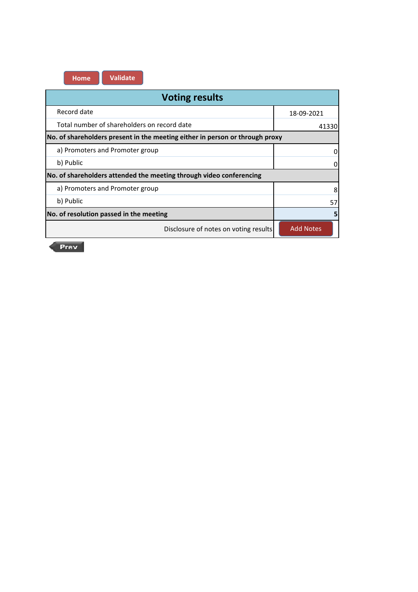**Home Validate**

| <b>Voting results</b>                                                        |                  |  |  |
|------------------------------------------------------------------------------|------------------|--|--|
| Record date                                                                  | 18-09-2021       |  |  |
| Total number of shareholders on record date                                  | 41330            |  |  |
| No. of shareholders present in the meeting either in person or through proxy |                  |  |  |
| a) Promoters and Promoter group                                              | 0                |  |  |
| b) Public                                                                    | 0                |  |  |
| No. of shareholders attended the meeting through video conferencing          |                  |  |  |
| a) Promoters and Promoter group                                              | 8                |  |  |
| b) Public                                                                    | 57               |  |  |
| No. of resolution passed in the meeting                                      | 5                |  |  |
| Disclosure of notes on voting results                                        | <b>Add Notes</b> |  |  |

 $Prev$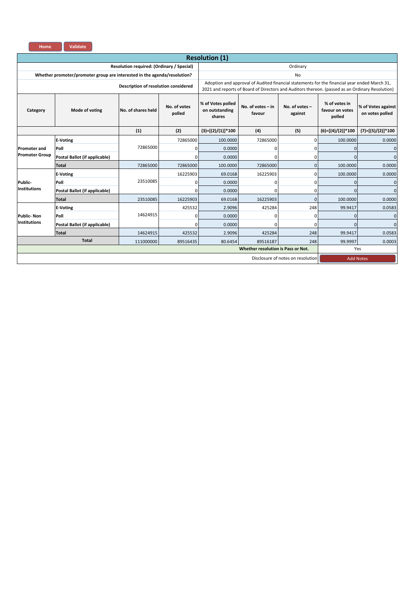| Home                               | Validate                                                                 |                                           |                        |                                               |                                                                                                                                                                                                 |           |                     |                                       |  |  |
|------------------------------------|--------------------------------------------------------------------------|-------------------------------------------|------------------------|-----------------------------------------------|-------------------------------------------------------------------------------------------------------------------------------------------------------------------------------------------------|-----------|---------------------|---------------------------------------|--|--|
|                                    |                                                                          |                                           |                        | <b>Resolution (1)</b>                         |                                                                                                                                                                                                 |           |                     |                                       |  |  |
|                                    |                                                                          | Resolution required: (Ordinary / Special) |                        |                                               |                                                                                                                                                                                                 | Ordinary  |                     |                                       |  |  |
|                                    | Whether promoter/promoter group are interested in the agenda/resolution? |                                           |                        |                                               |                                                                                                                                                                                                 | <b>No</b> |                     |                                       |  |  |
|                                    |                                                                          | Description of resolution considered      |                        |                                               | Adoption and approval of Audited financial statements for the financial year ended March 31,<br>2021 and reports of Board of Directors and Auditors thereon. (passed as an Ordinary Resolution) |           |                     |                                       |  |  |
| Category                           | Mode of voting                                                           | No. of shares held                        | No. of votes<br>polled | % of Votes polled<br>on outstanding<br>shares | No. of votes - in<br>No. of votes -<br>favour<br>against                                                                                                                                        |           |                     | % of Votes against<br>on votes polled |  |  |
|                                    |                                                                          | (1)                                       | (2)                    | $(3)=[(2)/(1)]*100$                           | (4)                                                                                                                                                                                             | (5)       | $(6)=[(4)/(2)]*100$ | $(7)=[(5)/(2)]*100$                   |  |  |
|                                    | <b>E-Voting</b>                                                          |                                           | 72865000               | 100.0000                                      | 72865000                                                                                                                                                                                        | $\Omega$  | 100.0000            | 0.0000                                |  |  |
| <b>Promoter and</b>                | Poll                                                                     | 72865000                                  | 0                      | 0.0000                                        | 0                                                                                                                                                                                               | ŋ         | $\mathbf 0$         | 0                                     |  |  |
| <b>Promoter Group</b>              | Postal Ballot (if applicable)                                            |                                           | U                      | 0.0000                                        | <sup>0</sup>                                                                                                                                                                                    | ŋ         | $\Omega$            | $\Omega$                              |  |  |
|                                    | <b>Total</b>                                                             | 72865000                                  | 72865000               | 100.0000                                      | 72865000                                                                                                                                                                                        | O         | 100.0000            | 0.0000                                |  |  |
|                                    | <b>E-Voting</b>                                                          |                                           | 16225903               | 69.0168                                       | 16225903                                                                                                                                                                                        | $\Omega$  | 100.0000            | 0.0000                                |  |  |
| Public-                            | Poll                                                                     | 23510085                                  | 0                      | 0.0000                                        | 0                                                                                                                                                                                               | ŋ         | $\Omega$            | 0                                     |  |  |
| <b>Institutions</b>                | Postal Ballot (if applicable)                                            |                                           | 0                      | 0.0000                                        | 0                                                                                                                                                                                               | ŋ         | $\Omega$            | $\Omega$                              |  |  |
|                                    | <b>Total</b>                                                             | 23510085                                  | 16225903               | 69.0168                                       | 16225903                                                                                                                                                                                        | $\Omega$  | 100.0000            | 0.0000                                |  |  |
|                                    | <b>E-Voting</b>                                                          |                                           | 425532                 | 2.9096                                        | 425284                                                                                                                                                                                          | 248       | 99.9417             | 0.0583                                |  |  |
| <b>Public-Non</b>                  | Poll                                                                     | 14624915                                  | 0                      | 0.0000                                        | 0                                                                                                                                                                                               | O         | $\Omega$            | 0                                     |  |  |
| <b>Institutions</b>                | Postal Ballot (if applicable)                                            |                                           | 0                      | 0.0000                                        | <sup>0</sup>                                                                                                                                                                                    | U         | $\Omega$            | $\Omega$                              |  |  |
|                                    | <b>Total</b>                                                             | 14624915                                  | 425532                 | 2.9096                                        | 425284                                                                                                                                                                                          | 248       | 99.9417             | 0.0583                                |  |  |
|                                    | <b>Total</b>                                                             | 111000000                                 | 89516435               | 80.6454                                       | 89516187                                                                                                                                                                                        | 248       | 99.9997             | 0.0003                                |  |  |
| Whether resolution is Pass or Not. |                                                                          |                                           |                        |                                               |                                                                                                                                                                                                 |           |                     | Yes                                   |  |  |
|                                    | Disclosure of notes on resolution<br><b>Add Notes</b>                    |                                           |                        |                                               |                                                                                                                                                                                                 |           |                     |                                       |  |  |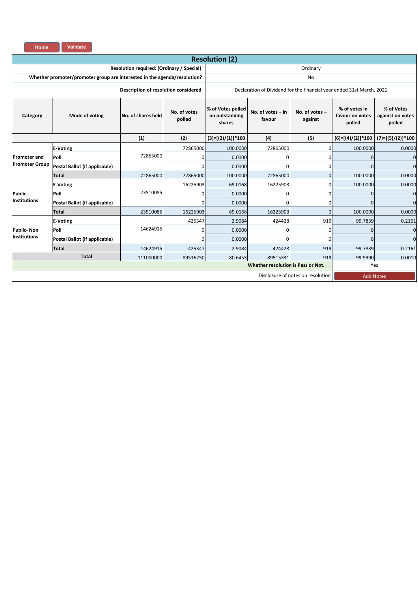| <b>Home</b> | <b>Validate</b> |
|-------------|-----------------|
|             |                 |

|                            |                                                                          |                                      |                        | <b>Resolution (2)</b>                         |                                                 |                                                                       |                                            |                                          |  |
|----------------------------|--------------------------------------------------------------------------|--------------------------------------|------------------------|-----------------------------------------------|-------------------------------------------------|-----------------------------------------------------------------------|--------------------------------------------|------------------------------------------|--|
|                            | Resolution required: (Ordinary / Special)                                |                                      | Ordinary               |                                               |                                                 |                                                                       |                                            |                                          |  |
|                            | Whether promoter/promoter group are interested in the agenda/resolution? |                                      |                        |                                               |                                                 | <b>No</b>                                                             |                                            |                                          |  |
|                            |                                                                          | Description of resolution considered |                        |                                               |                                                 | Declaration of Dividend for the financial year ended 31st March, 2021 |                                            |                                          |  |
| Mode of voting<br>Category |                                                                          | No. of shares held                   | No. of votes<br>polled | % of Votes polled<br>on outstanding<br>shares | No. of votes $-$ in<br>No. of votes -<br>favour |                                                                       | % of votes in<br>favour on votes<br>polled | % of Votes<br>against on votes<br>polled |  |
|                            |                                                                          | (1)                                  | (2)                    | $(3)=[(2)/(1)]*100$                           | (4)                                             | (5)                                                                   | $(6)=[(4)/(2)]*100$                        | $(7)=[(5)/(2)]*100$                      |  |
| <b>Promoter and</b>        | <b>E-Voting</b>                                                          |                                      | 72865000               | 100.0000                                      | 72865000                                        | ŋ                                                                     | 100.0000                                   | 0.0000                                   |  |
|                            | Poll                                                                     | 72865000                             | $\overline{0}$         | 0.0000                                        |                                                 | n                                                                     | $\Omega$                                   | $\mathbf 0$                              |  |
| <b>Promoter Group</b>      | Postal Ballot (if applicable)                                            |                                      | 01                     | 0.0000                                        |                                                 |                                                                       | $\Omega$                                   | $\overline{0}$                           |  |
|                            | <b>Total</b>                                                             | 72865000                             | 72865000               | 100.0000                                      | 72865000                                        | ŋ                                                                     | 100.0000                                   | 0.0000                                   |  |
|                            | <b>E-Voting</b>                                                          |                                      | 16225903               | 69.0168                                       | 16225903                                        | ŋ                                                                     | 100.0000                                   | 0.0000                                   |  |
| Public-                    | Poll                                                                     | 23510085                             | $\overline{0}$         | 0.0000                                        | O                                               | 0                                                                     | $\Omega$                                   | $\mathbf 0$                              |  |
| <b>Institutions</b>        | Postal Ballot (if applicable)                                            |                                      | $\overline{0}$         | 0.0000                                        | <sup>0</sup>                                    | 0                                                                     | $\Omega$                                   | $\overline{0}$                           |  |
|                            | <b>Total</b>                                                             | 23510085                             | 16225903               | 69.0168                                       | 16225903                                        | $\Omega$                                                              | 100.0000                                   | 0.0000                                   |  |
|                            | <b>E-Voting</b>                                                          |                                      | 425347                 | 2.9084                                        | 424428                                          | 919                                                                   | 99.7839                                    | 0.2161                                   |  |
| <b>Public-Non</b>          | Poll                                                                     | 14624915                             | 01                     | 0.0000                                        |                                                 | <sup>0</sup>                                                          | $\Omega$                                   | $\mathbf 0$                              |  |
| <b>Institutions</b>        | Postal Ballot (if applicable)                                            |                                      | 01                     | 0.0000                                        |                                                 | <sup>0</sup>                                                          | $\Omega$                                   | $\overline{0}$                           |  |
|                            | <b>Total</b>                                                             | 14624915                             | 425347                 | 2.9084                                        | 424428                                          | 919                                                                   | 99.7839                                    | 0.2161                                   |  |
| <b>Total</b><br>111000000  |                                                                          |                                      |                        | 80.6453<br>89516250                           | 89515331                                        | 919                                                                   | 99.9990                                    | 0.0010                                   |  |
|                            |                                                                          |                                      |                        |                                               | Whether resolution is Pass or Not.              |                                                                       | Yes                                        |                                          |  |
|                            |                                                                          |                                      |                        |                                               |                                                 | Disclosure of notes on resolution                                     | <b>Add Notes</b>                           |                                          |  |
|                            |                                                                          |                                      |                        |                                               |                                                 |                                                                       |                                            |                                          |  |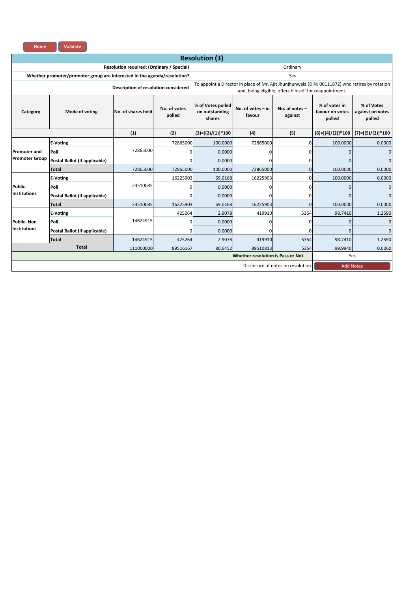| <b>Home</b> | <b>Validate</b> |
|-------------|-----------------|
|             |                 |

| <b>Resolution (3)</b> |                                                                          |                                           |                                   |                                               |                                                                                                 |                                                        |                                            |                                          |  |  |  |
|-----------------------|--------------------------------------------------------------------------|-------------------------------------------|-----------------------------------|-----------------------------------------------|-------------------------------------------------------------------------------------------------|--------------------------------------------------------|--------------------------------------------|------------------------------------------|--|--|--|
|                       |                                                                          | Resolution required: (Ordinary / Special) |                                   | Ordinary                                      |                                                                                                 |                                                        |                                            |                                          |  |  |  |
|                       | Whether promoter/promoter group are interested in the agenda/resolution? |                                           |                                   |                                               |                                                                                                 | Yes                                                    |                                            |                                          |  |  |  |
|                       |                                                                          | Description of resolution considered      |                                   |                                               | To appoint a Director in place of Mr. Ajit Jhunjhunwala (DIN: 00111872) who retires by rotation | and, being eligible, offers himself for reappointment. |                                            |                                          |  |  |  |
| Category              | Mode of voting                                                           | No. of shares held                        | No. of votes<br>polled            | % of Votes polled<br>on outstanding<br>shares | No. of votes - in<br>favour                                                                     | No. of votes -<br>against                              | % of votes in<br>favour on votes<br>polled | % of Votes<br>against on votes<br>polled |  |  |  |
|                       |                                                                          | (1)                                       | (2)                               | $(3)=[(2)/(1)]*100$                           | (4)                                                                                             | (5)                                                    | $(6)=[(4)/(2)]*100$                        | (7)=[(5)/(2)]*100                        |  |  |  |
|                       | <b>E-Voting</b>                                                          |                                           | 72865000                          | 100.0000                                      | 72865000                                                                                        | 0                                                      | 100.0000                                   | 0.0000                                   |  |  |  |
| <b>Promoter and</b>   | Poll                                                                     | 72865000                                  | $\Omega$                          | 0.0000                                        |                                                                                                 | O                                                      |                                            | $\Omega$                                 |  |  |  |
| <b>Promoter Group</b> | Postal Ballot (if applicable)                                            |                                           | $\Omega$                          | 0.0000                                        |                                                                                                 | O                                                      |                                            | $\mathbf{0}$                             |  |  |  |
|                       | <b>Total</b>                                                             | 72865000                                  | 72865000                          | 100.0000                                      | 72865000                                                                                        | $\mathbf{0}$                                           | 100.0000                                   | 0.0000                                   |  |  |  |
|                       | <b>E-Voting</b>                                                          |                                           | 16225903                          | 69.0168                                       | 16225903                                                                                        | $\Omega$                                               | 100.0000                                   | 0.0000                                   |  |  |  |
| Public-               | Poll                                                                     | 23510085                                  | 0                                 | 0.0000                                        |                                                                                                 | 0                                                      |                                            | $\mathbf{0}$                             |  |  |  |
| <b>Institutions</b>   | Postal Ballot (if applicable)                                            |                                           | $\Omega$                          | 0.0000                                        |                                                                                                 | 0                                                      |                                            | $\mathbf{0}$                             |  |  |  |
|                       | Total                                                                    | 23510085                                  | 16225903                          | 69.0168                                       | 16225903                                                                                        | $\Omega$                                               | 100.0000                                   | 0.0000                                   |  |  |  |
|                       | <b>E-Voting</b>                                                          |                                           | 425264                            | 2.9078                                        | 419910                                                                                          | 5354                                                   | 98.7410                                    | 1.2590                                   |  |  |  |
| <b>Public-Non</b>     | Poll                                                                     | 14624915                                  | 0                                 | 0.0000                                        |                                                                                                 | O                                                      |                                            | $\mathbf{0}$                             |  |  |  |
| <b>Institutions</b>   | Postal Ballot (if applicable)                                            |                                           | $\Omega$                          | 0.0000                                        |                                                                                                 | O                                                      |                                            | $\mathbf{0}$                             |  |  |  |
|                       | Total                                                                    | 14624915                                  | 425264                            | 2.9078                                        | 419910                                                                                          | 5354                                                   | 98.7410                                    | 1.2590                                   |  |  |  |
|                       | <b>Total</b>                                                             | 111000000                                 | 89516167                          | 80.6452                                       | 89510813                                                                                        | 5354                                                   | 99.9940                                    | 0.0060                                   |  |  |  |
|                       |                                                                          |                                           |                                   |                                               | Whether resolution is Pass or Not.                                                              |                                                        |                                            | Yes                                      |  |  |  |
|                       |                                                                          |                                           | Disclosure of notes on resolution | <b>Add Notes</b>                              |                                                                                                 |                                                        |                                            |                                          |  |  |  |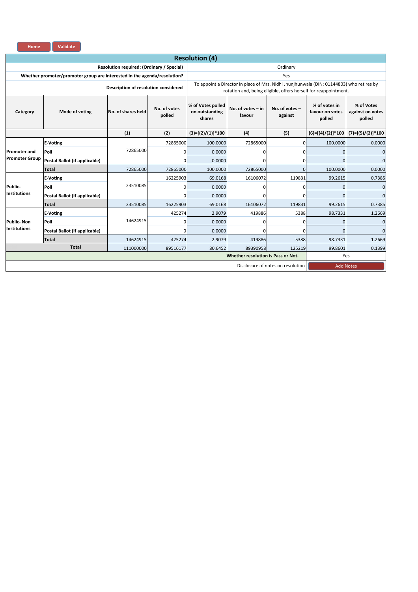| Home                  | Validate                                                                 |                                           |                        |                                               |                                                                                                                                                             |                           |                                            |                                          |  |  |
|-----------------------|--------------------------------------------------------------------------|-------------------------------------------|------------------------|-----------------------------------------------|-------------------------------------------------------------------------------------------------------------------------------------------------------------|---------------------------|--------------------------------------------|------------------------------------------|--|--|
|                       |                                                                          |                                           |                        |                                               |                                                                                                                                                             |                           |                                            |                                          |  |  |
|                       |                                                                          | Resolution required: (Ordinary / Special) |                        |                                               |                                                                                                                                                             | Ordinary                  |                                            |                                          |  |  |
|                       | Whether promoter/promoter group are interested in the agenda/resolution? |                                           |                        |                                               |                                                                                                                                                             | Yes                       |                                            |                                          |  |  |
|                       |                                                                          | Description of resolution considered      |                        |                                               | To appoint a Director in place of Mrs. Nidhi Jhunjhunwala (DIN: 01144803) who retires by<br>rotation and, being eligible, offers herself for reappointment. |                           |                                            |                                          |  |  |
| Category              | Mode of voting                                                           | No. of shares held                        | No. of votes<br>polled | % of Votes polled<br>on outstanding<br>shares | No. of votes - in<br>favour                                                                                                                                 | No. of votes -<br>against | % of votes in<br>favour on votes<br>polled | % of Votes<br>against on votes<br>polled |  |  |
|                       |                                                                          | (1)                                       | (2)                    | $(3)=[(2)/(1)]*100$                           | (4)                                                                                                                                                         | (5)                       | $(6)=[(4)/(2)]*100$                        | $(7)=[(5)/(2)]*100$                      |  |  |
|                       | <b>E-Voting</b>                                                          |                                           | 72865000               | 100.0000                                      | 72865000                                                                                                                                                    | $\Omega$                  | 100.0000                                   | 0.0000                                   |  |  |
| <b>Promoter and</b>   | Poll                                                                     | 72865000                                  | 0                      | 0.0000                                        |                                                                                                                                                             | 0                         | $\mathbf{0}$                               | $\mathbf 0$                              |  |  |
| <b>Promoter Group</b> | Postal Ballot (if applicable)                                            |                                           | $\Omega$               | 0.0000                                        |                                                                                                                                                             | $\Omega$                  | $\Omega$                                   | $\Omega$                                 |  |  |
|                       | Total                                                                    | 72865000                                  | 72865000               | 100.0000                                      | 72865000                                                                                                                                                    | $\Omega$                  | 100.0000                                   | 0.0000                                   |  |  |
|                       | <b>E-Voting</b>                                                          |                                           | 16225903               | 69.0168                                       | 16106072                                                                                                                                                    | 119831                    | 99.2615                                    | 0.7385                                   |  |  |
| Public-               | Poll                                                                     | 23510085                                  | $\mathbf 0$            | 0.0000                                        | <sup>0</sup>                                                                                                                                                | $\Omega$                  |                                            | $\mathbf{0}$                             |  |  |
| <b>Institutions</b>   | Postal Ballot (if applicable)                                            |                                           | 0                      | 0.0000                                        | n                                                                                                                                                           | $\Omega$                  | $\Omega$                                   | $\mathbf{0}$                             |  |  |
|                       | Total                                                                    | 23510085                                  | 16225903               | 69.0168                                       | 16106072                                                                                                                                                    | 119831                    | 99.2615                                    | 0.7385                                   |  |  |
|                       | <b>E-Voting</b>                                                          |                                           | 425274                 | 2.9079                                        | 419886                                                                                                                                                      | 5388                      | 98.7331                                    | 1.2669                                   |  |  |
| <b>Public-Non</b>     | Poll                                                                     | 14624915                                  | 0                      | 0.0000                                        | U                                                                                                                                                           | 0                         | $\Omega$                                   | $\mathbf{0}$                             |  |  |
| <b>Institutions</b>   | Postal Ballot (if applicable)                                            |                                           | 0                      | 0.0000                                        |                                                                                                                                                             | $\Omega$                  | $\Omega$                                   | $\mathbf{0}$                             |  |  |
|                       | Total                                                                    | 14624915                                  | 425274                 | 2.9079                                        | 419886                                                                                                                                                      | 5388                      | 98.7331                                    | 1.2669                                   |  |  |
|                       | <b>Total</b>                                                             | 111000000                                 | 89516177               | 80.6452                                       | 89390958                                                                                                                                                    | 125219                    | 99.8601                                    | 0.1399                                   |  |  |
|                       |                                                                          |                                           |                        |                                               | Whether resolution is Pass or Not.                                                                                                                          |                           |                                            | Yes                                      |  |  |
|                       | Disclosure of notes on resolution                                        |                                           |                        |                                               |                                                                                                                                                             |                           |                                            |                                          |  |  |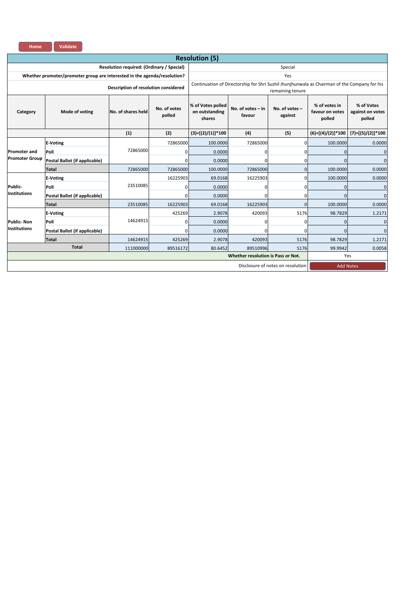| <b>Home</b> | <b>Validate</b> |
|-------------|-----------------|
|             |                 |

| <b>Resolution (5)</b> |                                                                          |                                           |                        |                                                       |                                                                                              |                           |                                            |                                          |  |  |  |
|-----------------------|--------------------------------------------------------------------------|-------------------------------------------|------------------------|-------------------------------------------------------|----------------------------------------------------------------------------------------------|---------------------------|--------------------------------------------|------------------------------------------|--|--|--|
|                       |                                                                          | Resolution required: (Ordinary / Special) |                        | Special                                               |                                                                                              |                           |                                            |                                          |  |  |  |
|                       | Whether promoter/promoter group are interested in the agenda/resolution? |                                           |                        |                                                       |                                                                                              | Yes                       |                                            |                                          |  |  |  |
|                       |                                                                          | Description of resolution considered      |                        |                                                       | Continuation of Directorship for Shri Sushil Jhunjhunwala as Chairman of the Company for his | remaining tenure          |                                            |                                          |  |  |  |
| Category              | Mode of voting                                                           | No. of shares held                        | No. of votes<br>polled | % of Votes polled<br>on outstanding<br>shares         | No. of votes $-$ in<br>favour                                                                | No. of votes -<br>against | % of votes in<br>favour on votes<br>polled | % of Votes<br>against on votes<br>polled |  |  |  |
|                       |                                                                          | (1)                                       | (2)                    | $(3)=[(2)/(1)]*100$                                   | (4)                                                                                          | (5)                       | $(6)=[(4)/(2)]*100$                        | $(7)=[(5)/(2)]*100$                      |  |  |  |
|                       | <b>E-Voting</b>                                                          |                                           | 72865000               | 100.0000                                              | 72865000                                                                                     | 0                         | 100.0000                                   | 0.0000                                   |  |  |  |
| <b>Promoter and</b>   | Poll                                                                     | 72865000                                  | 0                      | 0.0000                                                | o                                                                                            | 0                         | $\mathbf{0}$                               | $\mathbf{0}$                             |  |  |  |
| <b>Promoter Group</b> | Postal Ballot (if applicable)                                            |                                           | 0                      | 0.0000                                                |                                                                                              | 0                         | $\mathbf{0}$                               | $\mathbf{0}$                             |  |  |  |
|                       | <b>Total</b>                                                             | 72865000                                  | 72865000               | 100.0000                                              | 72865000                                                                                     | $\mathbf{0}$              | 100.0000                                   | 0.0000                                   |  |  |  |
|                       | <b>E-Voting</b>                                                          |                                           | 16225903               | 69.0168                                               | 16225903                                                                                     | 0                         | 100.0000                                   | 0.0000                                   |  |  |  |
| Public-               | Poll                                                                     | 23510085                                  | $\mathbf 0$            | 0.0000                                                | o                                                                                            | 0                         | $\mathbf{0}$                               | $\mathbf{0}$                             |  |  |  |
| <b>Institutions</b>   | Postal Ballot (if applicable)                                            |                                           | 0                      | 0.0000                                                |                                                                                              | 0                         | $\Omega$                                   | $\mathbf{0}$                             |  |  |  |
|                       | <b>Total</b>                                                             | 23510085                                  | 16225903               | 69.0168                                               | 16225903                                                                                     | $\Omega$                  | 100.0000                                   | 0.0000                                   |  |  |  |
|                       | <b>E-Voting</b>                                                          |                                           | 425269                 | 2.9078                                                | 420093                                                                                       | 5176                      | 98.7829                                    | 1.2171                                   |  |  |  |
| <b>Public-Non</b>     | Poll                                                                     | 14624915                                  | 0                      | 0.0000                                                | ŋ                                                                                            | $\Omega$                  | $\Omega$                                   | $\mathbf 0$                              |  |  |  |
| <b>Institutions</b>   | Postal Ballot (if applicable)                                            |                                           | 0                      | 0.0000                                                |                                                                                              | $\Omega$                  | $\Omega$                                   | $\mathbf{0}$                             |  |  |  |
|                       | Total                                                                    | 14624915                                  | 425269                 | 2.9078                                                | 420093                                                                                       | 5176                      | 98.7829                                    | 1.2171                                   |  |  |  |
|                       | <b>Total</b>                                                             | 111000000                                 | 89516172               | 80.6452                                               | 89510996                                                                                     | 5176                      | 99.9942                                    | 0.0058                                   |  |  |  |
|                       |                                                                          |                                           |                        |                                                       | Whether resolution is Pass or Not.                                                           |                           | Yes                                        |                                          |  |  |  |
|                       |                                                                          |                                           |                        | Disclosure of notes on resolution<br><b>Add Notes</b> |                                                                                              |                           |                                            |                                          |  |  |  |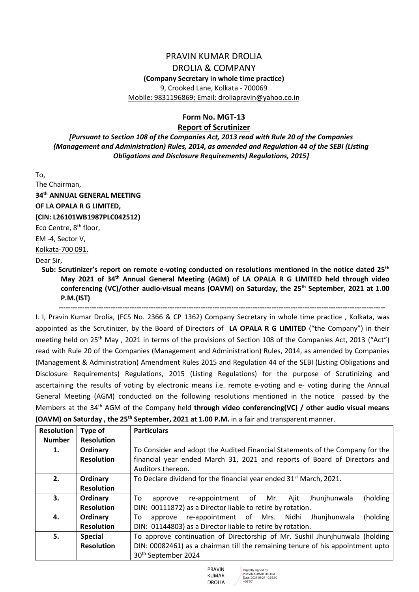### PRAVIN KUMAR DROLIA

#### DROLIA & COMPANY

#### **(Company Secretary in whole time practice)**

9, Crooked Lane, Kolkata - 700069 Mobile: 9831196869; Email: droliapravin@yahoo.co.in

#### **Form No. MGT-13**

#### **Report of Scrutinizer**

*[Pursuant to Section 108 of the Companies Act, 2013 read with Rule 20 of the Companies (Management and Administration) Rules, 2014, as amended and Regulation 44 of the SEBI (Listing Obligations and Disclosure Requirements) Regulations, 2015]*

To, The Chairman,

**34th ANNUAL GENERAL MEETING**

**OF LA OPALA R G LIMITED,**

#### **(CIN: L26101WB1987PLC042512)**

Eco Centre, 8<sup>th</sup> floor,

EM -4, Sector V,

Kolkata-700 091.

#### Dear Sir,

**Sub: Scrutinizer's report on remote e-voting conducted on resolutions mentioned in the notice dated 25th May 2021 of 34th Annual General Meeting (AGM) of LA OPALA R G LIMITED held through video conferencing (VC)/other audio-visual means (OAVM) on Saturday, the 25th September, 2021 at 1.00 P.M.(IST)**

 **------------------------------------------------------------------------------------------------------------------------------------------** I. I, Pravin Kumar Drolia, (FCS No. 2366 & CP 1362) Company Secretary in whole time practice , Kolkata, was appointed as the Scrutinizer, by the Board of Directors of **LA OPALA R G LIMITED** ("the Company") in their meeting held on 25<sup>th</sup> May, 2021 in terms of the provisions of Section 108 of the Companies Act, 2013 ("Act") read with Rule 20 of the Companies (Management and Administration) Rules, 2014, as amended by Companies (Management & Administration) Amendment Rules 2015 and Regulation 44 of the SEBI (Listing Obligations and Disclosure Requirements) Regulations, 2015 (Listing Regulations) for the purpose of Scrutinizing and ascertaining the results of voting by electronic means i.e. remote e-voting and e- voting during the Annual General Meeting (AGM) conducted on the following resolutions mentioned in the notice passed by the Members at the 34<sup>th</sup> AGM of the Company held **through video conferencing(VC) / other audio visual means** 

|  | (OAVM) on Saturday, the 25 <sup>th</sup> September, 2021 at 1.00 P.M. in a fair and transparent manner. |  |
|--|---------------------------------------------------------------------------------------------------------|--|
|--|---------------------------------------------------------------------------------------------------------|--|

| <b>Resolution</b> | Type of           | <b>Particulars</b>                                                             |  |  |  |  |  |  |  |  |  |  |  |  |
|-------------------|-------------------|--------------------------------------------------------------------------------|--|--|--|--|--|--|--|--|--|--|--|--|
| <b>Number</b>     | <b>Resolution</b> |                                                                                |  |  |  |  |  |  |  |  |  |  |  |  |
| 1.                | Ordinary          | To Consider and adopt the Audited Financial Statements of the Company for the  |  |  |  |  |  |  |  |  |  |  |  |  |
|                   | <b>Resolution</b> | financial year ended March 31, 2021 and reports of Board of Directors and      |  |  |  |  |  |  |  |  |  |  |  |  |
|                   |                   | Auditors thereon.                                                              |  |  |  |  |  |  |  |  |  |  |  |  |
| 2.                | Ordinary          | To Declare dividend for the financial year ended 31 <sup>st</sup> March, 2021. |  |  |  |  |  |  |  |  |  |  |  |  |
|                   | <b>Resolution</b> |                                                                                |  |  |  |  |  |  |  |  |  |  |  |  |
| З.                | Ordinary          | (holding<br>To<br>re-appointment of Mr. Ajit<br>Jhunjhunwala<br>approve        |  |  |  |  |  |  |  |  |  |  |  |  |
|                   | <b>Resolution</b> | DIN: 00111872) as a Director liable to retire by rotation.                     |  |  |  |  |  |  |  |  |  |  |  |  |
| 4.                | Ordinary          | (holding<br>re-appointment of Mrs. Nidhi<br>Jhunjhunwala<br>To<br>approve      |  |  |  |  |  |  |  |  |  |  |  |  |
|                   | <b>Resolution</b> | DIN: 01144803) as a Director liable to retire by rotation.                     |  |  |  |  |  |  |  |  |  |  |  |  |
| 5.                | <b>Special</b>    | To approve continuation of Directorship of Mr. Sushil Jhunjhunwala (holding    |  |  |  |  |  |  |  |  |  |  |  |  |
|                   | <b>Resolution</b> | DIN: 00082461) as a chairman till the remaining tenure of his appointment upto |  |  |  |  |  |  |  |  |  |  |  |  |
|                   |                   | 30 <sup>th</sup> September 2024                                                |  |  |  |  |  |  |  |  |  |  |  |  |



Digitally signed by PRAVIN KUMAR DROLIA Date: 2021.09.27 10:55:00 +05'30'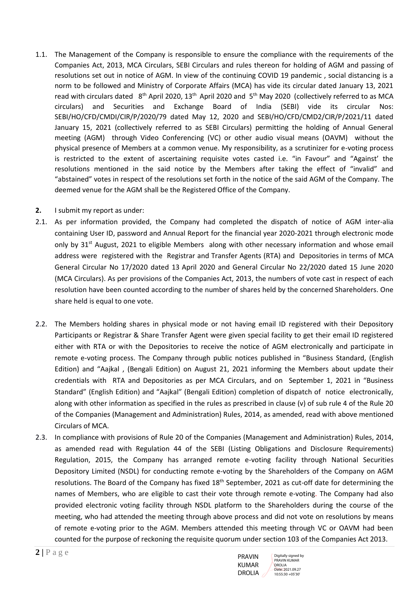- 1.1. The Management of the Company is responsible to ensure the compliance with the requirements of the Companies Act, 2013, MCA Circulars, SEBI Circulars and rules thereon for holding of AGM and passing of resolutions set out in notice of AGM. In view of the continuing COVID 19 pandemic , social distancing is a norm to be followed and Ministry of Corporate Affairs (MCA) has vide its circular dated January 13, 2021 read with circulars dated 8<sup>th</sup> April 2020, 13<sup>th</sup> April 2020 and 5<sup>th</sup> May 2020 (collectively referred to as MCA circulars) and Securities and Exchange Board of India (SEBI) vide its circular Nos: SEBI/HO/CFD/CMDI/CIR/P/2020/79 dated May 12, 2020 and SEBI/HO/CFD/CMD2/CIR/P/2021/11 dated January 15, 2021 (collectively referred to as SEBI Circulars) permitting the holding of Annual General meeting (AGM) through Video Conferencing (VC) or other audio visual means (OAVM) without the physical presence of Members at a common venue. My responsibility, as a scrutinizer for e-voting process is restricted to the extent of ascertaining requisite votes casted i.e. "in Favour" and "Against' the resolutions mentioned in the said notice by the Members after taking the effect of "invalid" and "abstained" votes in respect of the resolutions set forth in the notice of the said AGM of the Company. The deemed venue for the AGM shall be the Registered Office of the Company.
- **2.** I submit my report as under:
- 2.1. As per information provided, the Company had completed the dispatch of notice of AGM inter-alia containing User ID, password and Annual Report for the financial year 2020-2021 through electronic mode only by  $31<sup>st</sup>$  August, 2021 to eligible Members along with other necessary information and whose email address were registered with the Registrar and Transfer Agents (RTA) and Depositories in terms of MCA General Circular No 17/2020 dated 13 April 2020 and General Circular No 22/2020 dated 15 June 2020 (MCA Circulars). As per provisions of the Companies Act, 2013, the numbers of vote cast in respect of each resolution have been counted according to the number of shares held by the concerned Shareholders. One share held is equal to one vote.
- 2.2. The Members holding shares in physical mode or not having email ID registered with their Depository Participants or Registrar & Share Transfer Agent were given special facility to get their email ID registered either with RTA or with the Depositories to receive the notice of AGM electronically and participate in remote e-voting process. The Company through public notices published in "Business Standard, (English Edition) and "Aajkal , (Bengali Edition) on August 21, 2021 informing the Members about update their credentials with RTA and Depositories as per MCA Circulars, and on September 1, 2021 in "Business Standard" (English Edition) and "Aajkal" (Bengali Edition) completion of dispatch of notice electronically, along with other information as specified in the rules as prescribed in clause (v) of sub rule 4 of the Rule 20 of the Companies (Management and Administration) Rules, 2014, as amended, read with above mentioned Circulars of MCA.
- 2.3. In compliance with provisions of Rule 20 of the Companies (Management and Administration) Rules, 2014, as amended read with Regulation 44 of the SEBI (Listing Obligations and Disclosure Requirements) Regulation, 2015, the Company has arranged remote e-voting facility through National Securities Depository Limited (NSDL) for conducting remote e-voting by the Shareholders of the Company on AGM resolutions. The Board of the Company has fixed 18<sup>th</sup> September, 2021 as cut-off date for determining the names of Members, who are eligible to cast their vote through remote e-voting. The Company had also provided electronic voting facility through NSDL platform to the Shareholders during the course of the meeting, who had attended the meeting through above process and did not vote on resolutions by means of remote e-voting prior to the AGM. Members attended this meeting through VC or OAVM had been counted for the purpose of reckoning the requisite quorum under section 103 of the Companies Act 2013.

PRAVIN KUMAR DROLIA Digitally signed by PRAVIN KUMAR DROLIA Date: 2021.09.27 10:55:30 +05'30'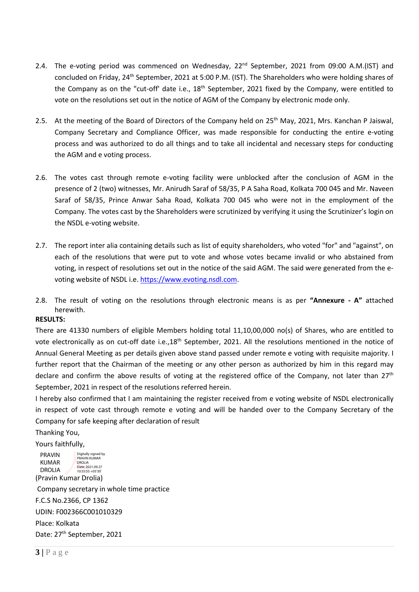- 2.4. The e-voting period was commenced on Wednesday, 22<sup>nd</sup> September, 2021 from 09:00 A.M.(IST) and concluded on Friday, 24th September, 2021 at 5:00 P.M. (IST). The Shareholders who were holding shares of the Company as on the "cut-off' date i.e., 18<sup>th</sup> September, 2021 fixed by the Company, were entitled to vote on the resolutions set out in the notice of AGM of the Company by electronic mode only.
- 2.5. At the meeting of the Board of Directors of the Company held on 25<sup>th</sup> May, 2021, Mrs. Kanchan P Jaiswal, Company Secretary and Compliance Officer, was made responsible for conducting the entire e-voting process and was authorized to do all things and to take all incidental and necessary steps for conducting the AGM and e voting process.
- 2.6. The votes cast through remote e-voting facility were unblocked after the conclusion of AGM in the presence of 2 (two) witnesses, Mr. Anirudh Saraf of 58/35, P A Saha Road, Kolkata 700 045 and Mr. Naveen Saraf of 58/35, Prince Anwar Saha Road, Kolkata 700 045 who were not in the employment of the Company. The votes cast by the Shareholders were scrutinized by verifying it using the Scrutinizer's login on the NSDL e-voting website.
- 2.7. The report inter alia containing details such as list of equity shareholders, who voted "for" and "against", on each of the resolutions that were put to vote and whose votes became invalid or who abstained from voting, in respect of resolutions set out in the notice of the said AGM. The said were generated from the evoting website of NSDL i.e[. https://www.evoting.nsdl.com.](https://www.evoting.nsdl.com/)
- 2.8. The result of voting on the resolutions through electronic means is as per **"Annexure - A"** attached herewith.

#### **RESULTS:**

There are 41330 numbers of eligible Members holding total 11,10,00,000 no(s) of Shares, who are entitled to vote electronically as on cut-off date i.e.,18<sup>th</sup> September, 2021. All the resolutions mentioned in the notice of Annual General Meeting as per details given above stand passed under remote e voting with requisite majority. I further report that the Chairman of the meeting or any other person as authorized by him in this regard may declare and confirm the above results of voting at the registered office of the Company, not later than 27<sup>th</sup> September, 2021 in respect of the resolutions referred herein.

I hereby also confirmed that I am maintaining the register received from e voting website of NSDL electronically in respect of vote cast through remote e voting and will be handed over to the Company Secretary of the Company for safe keeping after declaration of result

Thanking You,

Yours faithfully,

(Pravin Kumar Drolia) PRAVIN KUMAR DROLIA Digitally signed by PRAVIN KUMAR DROLIA Date: 2021.09.27 10:55:55 +05'30'

Company secretary in whole time practice F.C.S No.2366, CP 1362 UDIN: F002366C001010329

Place: Kolkata

Date: 27<sup>th</sup> September, 2021